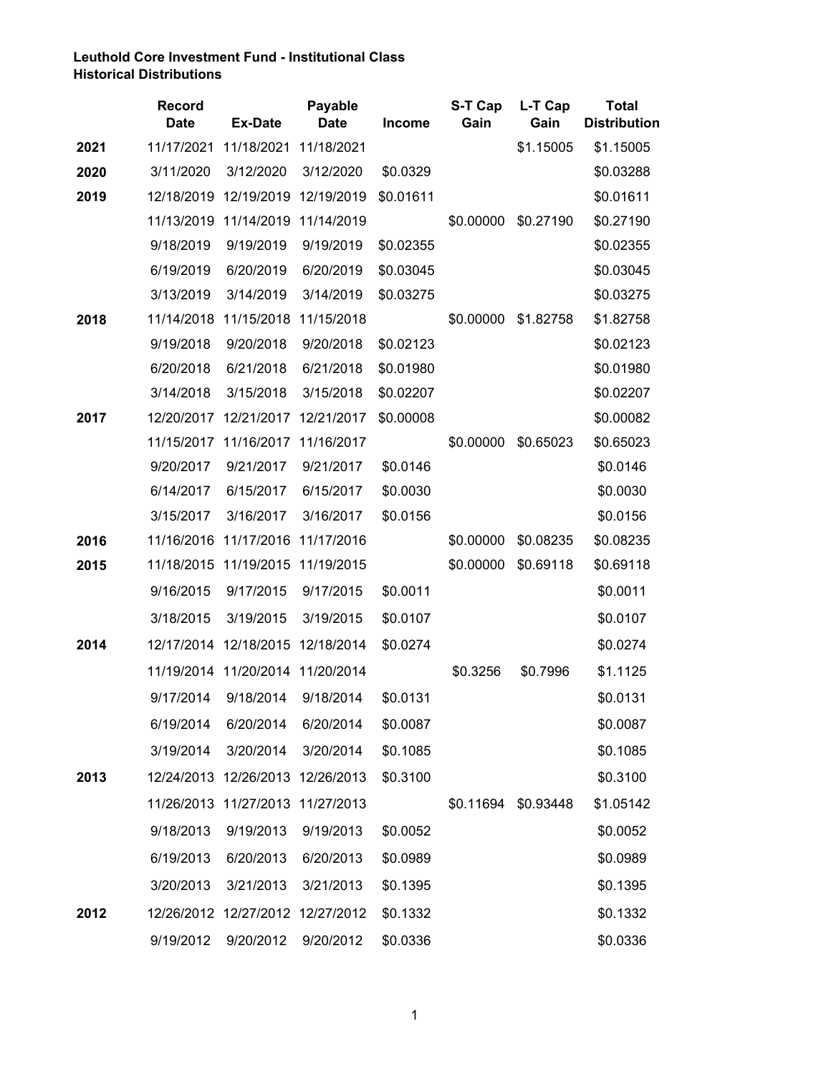## **Leuthold Core Investment Fund - Institutional Class Historical Distributions**

|      | <b>Record</b><br><b>Date</b> | <b>Ex-Date</b>                   | <b>Payable</b><br><b>Date</b> | Income    | S-T Cap<br>Gain | L-T Cap<br>Gain     | <b>Total</b><br><b>Distribution</b> |
|------|------------------------------|----------------------------------|-------------------------------|-----------|-----------------|---------------------|-------------------------------------|
| 2021 | 11/17/2021                   | 11/18/2021                       | 11/18/2021                    |           |                 | \$1.15005           | \$1.15005                           |
| 2020 | 3/11/2020                    | 3/12/2020                        | 3/12/2020                     | \$0.0329  |                 |                     | \$0.03288                           |
| 2019 |                              | 12/18/2019 12/19/2019            | 12/19/2019                    | \$0.01611 |                 |                     | \$0.01611                           |
|      |                              | 11/13/2019 11/14/2019            | 11/14/2019                    |           | \$0.00000       | \$0.27190           | \$0.27190                           |
|      | 9/18/2019                    | 9/19/2019                        | 9/19/2019                     | \$0.02355 |                 |                     | \$0.02355                           |
|      | 6/19/2019                    | 6/20/2019                        | 6/20/2019                     | \$0.03045 |                 |                     | \$0.03045                           |
|      | 3/13/2019                    | 3/14/2019                        | 3/14/2019                     | \$0.03275 |                 |                     | \$0.03275                           |
| 2018 |                              | 11/14/2018 11/15/2018            | 11/15/2018                    |           | \$0.00000       | \$1.82758           | \$1.82758                           |
|      | 9/19/2018                    | 9/20/2018                        | 9/20/2018                     | \$0.02123 |                 |                     | \$0.02123                           |
|      | 6/20/2018                    | 6/21/2018                        | 6/21/2018                     | \$0.01980 |                 |                     | \$0.01980                           |
|      | 3/14/2018                    | 3/15/2018                        | 3/15/2018                     | \$0.02207 |                 |                     | \$0.02207                           |
| 2017 |                              | 12/20/2017 12/21/2017            | 12/21/2017                    | \$0.00008 |                 |                     | \$0.00082                           |
|      |                              | 11/15/2017 11/16/2017            | 11/16/2017                    |           | \$0.00000       | \$0.65023           | \$0.65023                           |
|      | 9/20/2017                    | 9/21/2017                        | 9/21/2017                     | \$0.0146  |                 |                     | \$0.0146                            |
|      | 6/14/2017                    | 6/15/2017                        | 6/15/2017                     | \$0.0030  |                 |                     | \$0.0030                            |
|      | 3/15/2017                    | 3/16/2017                        | 3/16/2017                     | \$0.0156  |                 |                     | \$0.0156                            |
| 2016 |                              | 11/16/2016 11/17/2016            | 11/17/2016                    |           | \$0.00000       | \$0.08235           | \$0.08235                           |
| 2015 |                              | 11/18/2015 11/19/2015 11/19/2015 |                               |           | \$0.00000       | \$0.69118           | \$0.69118                           |
|      | 9/16/2015                    | 9/17/2015                        | 9/17/2015                     | \$0.0011  |                 |                     | \$0.0011                            |
|      | 3/18/2015                    | 3/19/2015                        | 3/19/2015                     | \$0.0107  |                 |                     | \$0.0107                            |
| 2014 |                              | 12/17/2014 12/18/2015 12/18/2014 |                               | \$0.0274  |                 |                     | \$0.0274                            |
|      |                              | 11/19/2014 11/20/2014 11/20/2014 |                               |           | \$0.3256        | \$0.7996            | \$1.1125                            |
|      | 9/17/2014                    | 9/18/2014                        | 9/18/2014                     | \$0.0131  |                 |                     | \$0.0131                            |
|      | 6/19/2014                    | 6/20/2014                        | 6/20/2014                     | \$0.0087  |                 |                     | \$0.0087                            |
|      | 3/19/2014                    | 3/20/2014                        | 3/20/2014                     | \$0.1085  |                 |                     | \$0.1085                            |
| 2013 |                              | 12/24/2013 12/26/2013            | 12/26/2013                    | \$0.3100  |                 |                     | \$0.3100                            |
|      |                              | 11/26/2013 11/27/2013 11/27/2013 |                               |           |                 | \$0.11694 \$0.93448 | \$1.05142                           |
|      | 9/18/2013                    | 9/19/2013                        | 9/19/2013                     | \$0.0052  |                 |                     | \$0.0052                            |
|      | 6/19/2013                    | 6/20/2013                        | 6/20/2013                     | \$0.0989  |                 |                     | \$0.0989                            |
|      | 3/20/2013                    | 3/21/2013                        | 3/21/2013                     | \$0.1395  |                 |                     | \$0.1395                            |
| 2012 |                              | 12/26/2012 12/27/2012 12/27/2012 |                               | \$0.1332  |                 |                     | \$0.1332                            |
|      | 9/19/2012                    | 9/20/2012                        | 9/20/2012                     | \$0.0336  |                 |                     | \$0.0336                            |